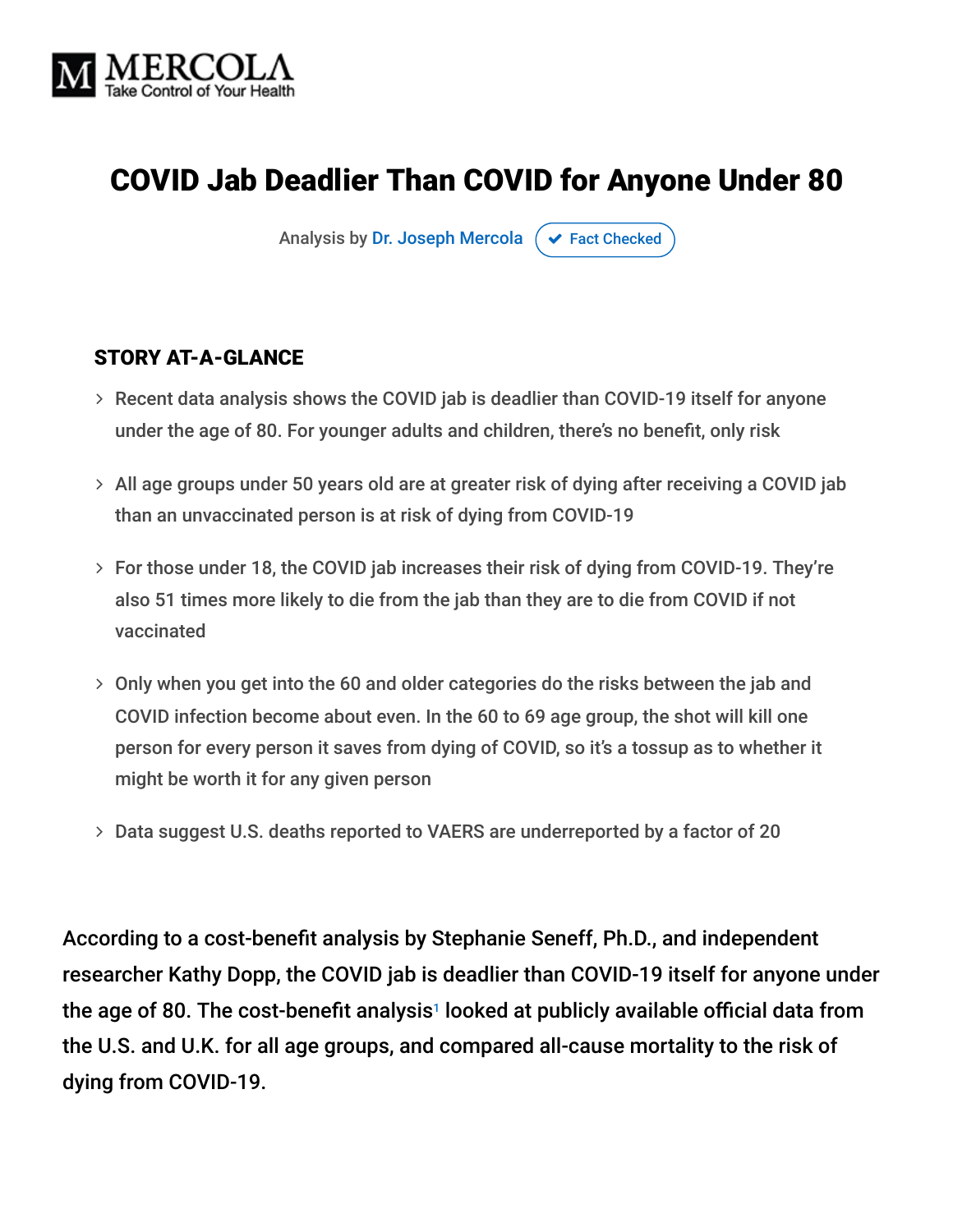

# COVID Jab Deadlier Than COVID for Anyone Under 80

Analysis by [Dr. Joseph Mercola](https://www.mercola.com/forms/background.htm)  $\sigma$  [Fact Checked](javascript:void(0))

#### STORY AT-A-GLANCE

- Recent data analysis shows the COVID jab is deadlier than COVID-19 itself for anyone under the age of 80. For younger adults and children, there's no benefit, only risk
- All age groups under 50 years old are at greater risk of dying after receiving a COVID jab than an unvaccinated person is at risk of dying from COVID-19
- For those under 18, the COVID jab increases their risk of dying from COVID-19. They're also 51 times more likely to die from the jab than they are to die from COVID if not vaccinated
- Only when you get into the 60 and older categories do the risks between the jab and COVID infection become about even. In the 60 to 69 age group, the shot will kill one person for every person it saves from dying of COVID, so it's a tossup as to whether it might be worth it for any given person
- Data suggest U.S. deaths reported to VAERS are underreported by a factor of 20

According to a cost-benefit analysis by Stephanie Seneff, Ph.D., and independent researcher Kathy Dopp, the COVID jab is deadlier than COVID-19 itself for anyone under the age of 80. The cost-benefit analysis<sup>1</sup> looked at publicly available official data from the U.S. and U.K. for all age groups, and compared all-cause mortality to the risk of dying from COVID-19.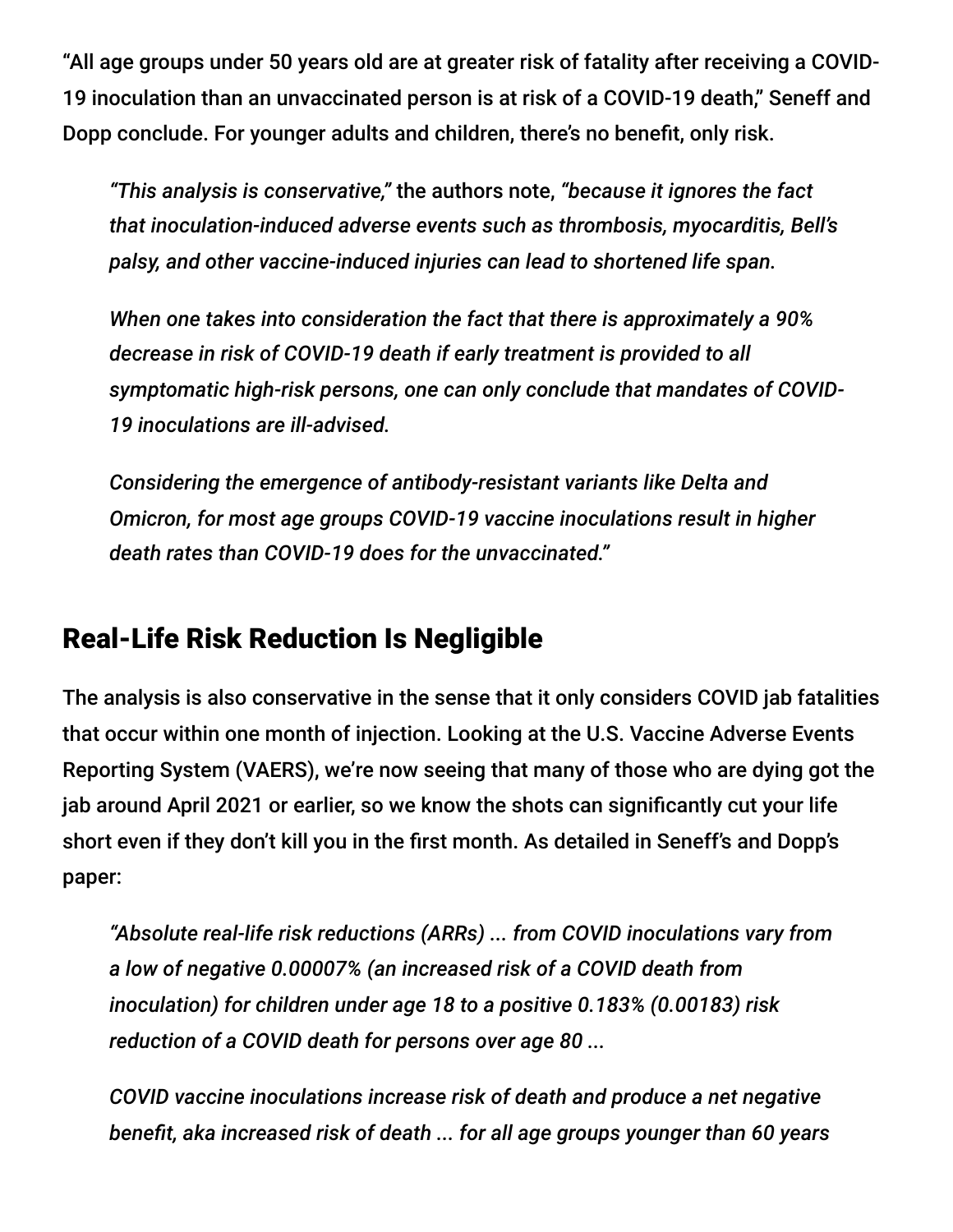"All age groups under 50 years old are at greater risk of fatality after receiving a COVID-19 inoculation than an unvaccinated person is at risk of a COVID-19 death," Seneff and Dopp conclude. For younger adults and children, there's no benefit, only risk.

*"This analysis is conservative,"* the authors note, *"because it ignores the fact that inoculation-induced adverse events such as thrombosis, myocarditis, Bell's palsy, and other vaccine-induced injuries can lead to shortened life span.*

*When one takes into consideration the fact that there is approximately a 90% decrease in risk of COVID-19 death if early treatment is provided to all symptomatic high-risk persons, one can only conclude that mandates of COVID-19 inoculations are ill-advised.*

*Considering the emergence of antibody-resistant variants like Delta and Omicron, for most age groups COVID-19 vaccine inoculations result in higher death rates than COVID-19 does for the unvaccinated."*

## Real-Life Risk Reduction Is Negligible

The analysis is also conservative in the sense that it only considers COVID jab fatalities that occur within one month of injection. Looking at the U.S. Vaccine Adverse Events Reporting System (VAERS), we're now seeing that many of those who are dying got the jab around April 2021 or earlier, so we know the shots can significantly cut your life short even if they don't kill you in the first month. As detailed in Seneff's and Dopp's paper:

*"Absolute real-life risk reductions (ARRs) ... from COVID inoculations vary from a low of negative 0.00007% (an increased risk of a COVID death from inoculation) for children under age 18 to a positive 0.183% (0.00183) risk reduction of a COVID death for persons over age 80 ...*

*COVID vaccine inoculations increase risk of death and produce a net negative benefit, aka increased risk of death ... for all age groups younger than 60 years*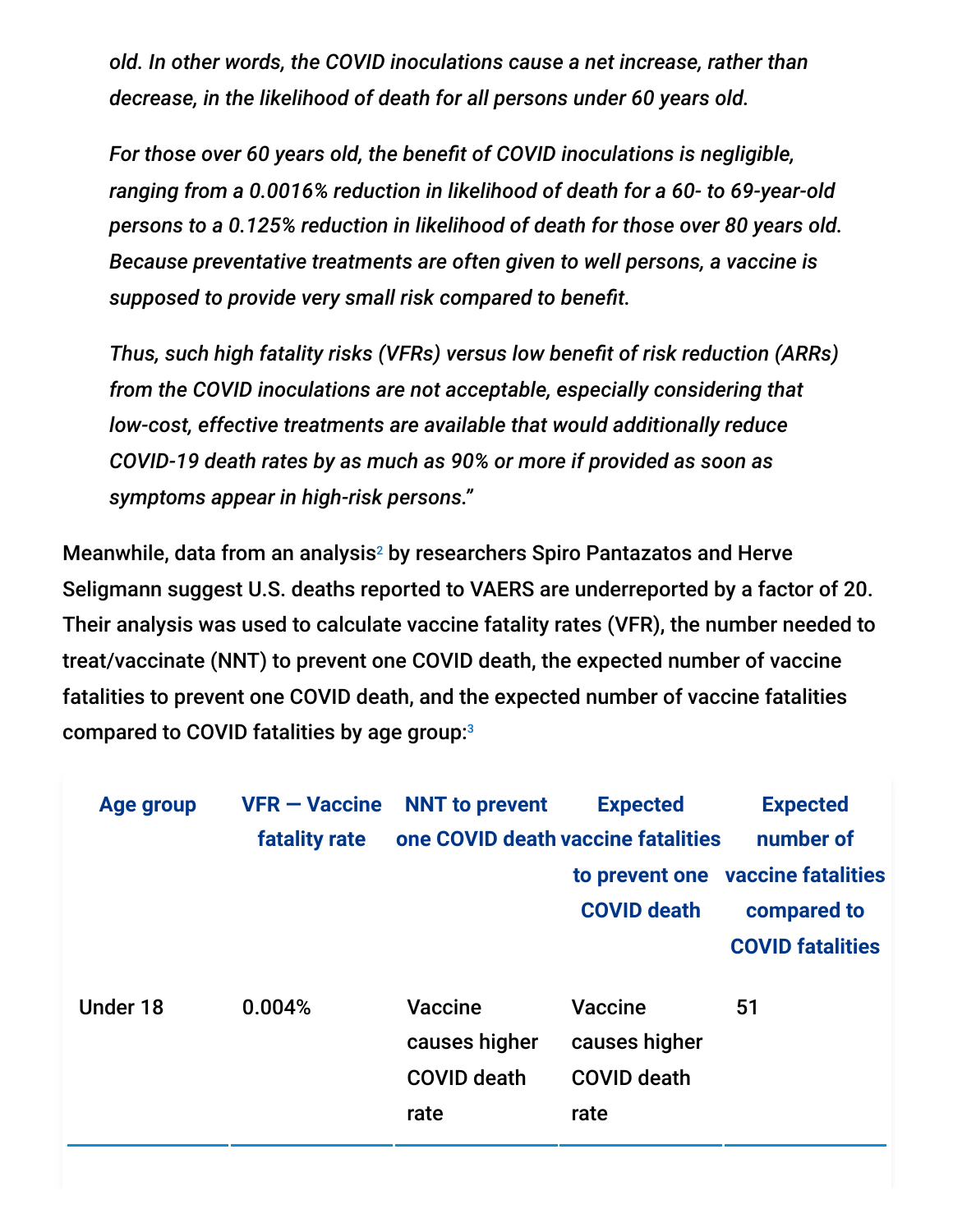*old. In other words, the COVID inoculations cause a net increase, rather than decrease, in the likelihood of death for all persons under 60 years old.*

*For those over 60 years old, the benefit of COVID inoculations is negligible, ranging from a 0.0016% reduction in likelihood of death for a 60- to 69-year-old persons to a 0.125% reduction in likelihood of death for those over 80 years old. Because preventative treatments are often given to well persons, a vaccine is supposed to provide very small risk compared to benefit.*

*Thus, such high fatality risks (VFRs) versus low benefit of risk reduction (ARRs) from the COVID inoculations are not acceptable, especially considering that low-cost, effective treatments are available that would additionally reduce COVID-19 death rates by as much as 90% or more if provided as soon as symptoms appear in high-risk persons."*

Meanwhile, data from an analysis<sup>2</sup> by researchers Spiro Pantazatos and Herve Seligmann suggest U.S. deaths reported to VAERS are underreported by a factor of 20. Their analysis was used to calculate vaccine fatality rates (VFR), the number needed to treat/vaccinate (NNT) to prevent one COVID death, the expected number of vaccine fatalities to prevent one COVID death, and the expected number of vaccine fatalities compared to COVID fatalities by age group: 3

| <b>Age group</b> | <b>VFR-Vaccine</b> | <b>NNT</b> to prevent                                         | <b>Expected</b>                                               | <b>Expected</b>                   |
|------------------|--------------------|---------------------------------------------------------------|---------------------------------------------------------------|-----------------------------------|
|                  | fatality rate      | one COVID death vaccine fatalities                            |                                                               | number of                         |
|                  |                    |                                                               |                                                               | to prevent one vaccine fatalities |
|                  |                    |                                                               | <b>COVID death</b>                                            | compared to                       |
|                  |                    |                                                               |                                                               | <b>COVID fatalities</b>           |
| Under 18         | 0.004%             | <b>Vaccine</b><br>causes higher<br><b>COVID death</b><br>rate | <b>Vaccine</b><br>causes higher<br><b>COVID death</b><br>rate | 51                                |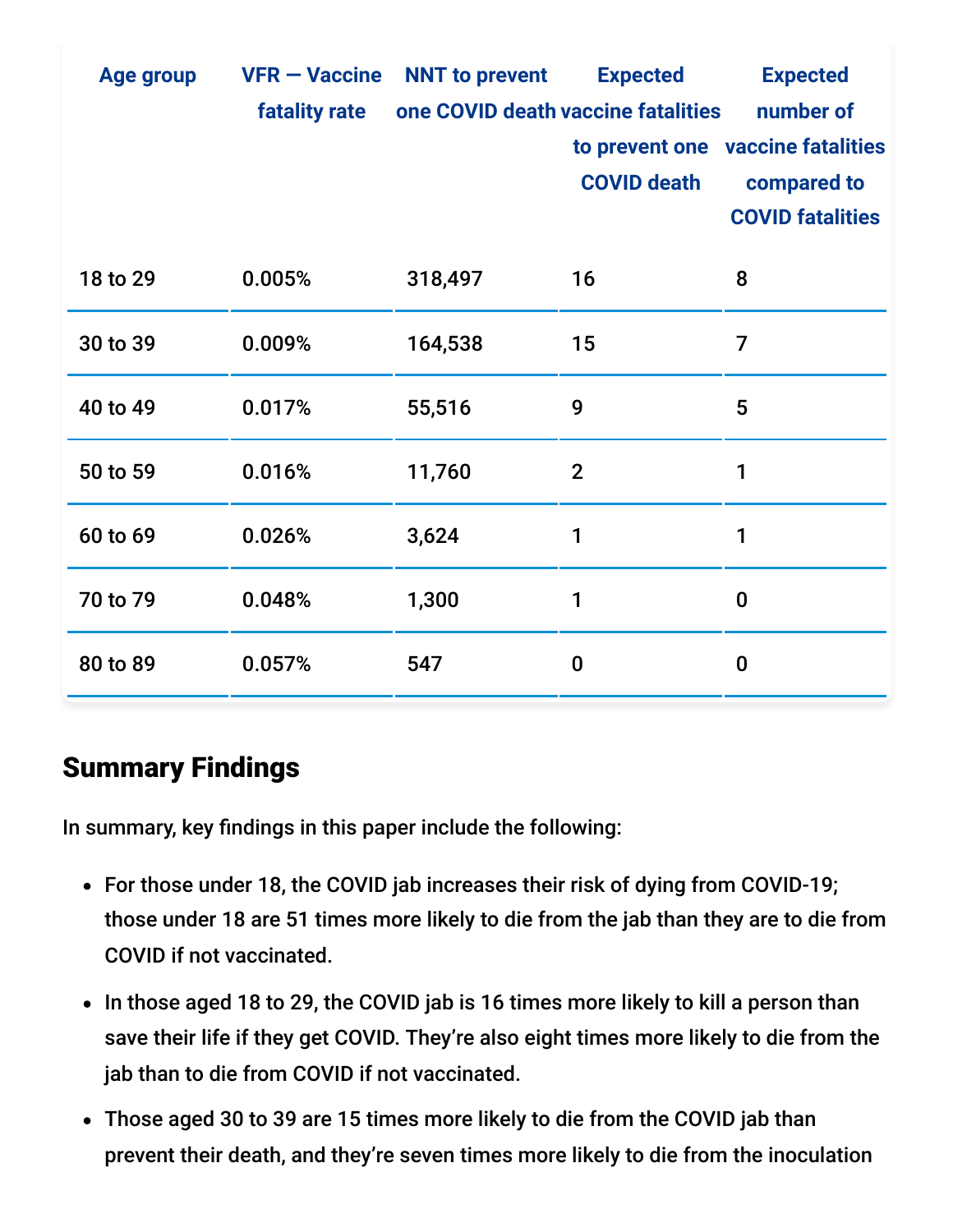| <b>Age group</b> | <b>VFR - Vaccine</b> | <b>NNT</b> to prevent              | <b>Expected</b>    | <b>Expected</b>                   |
|------------------|----------------------|------------------------------------|--------------------|-----------------------------------|
|                  | <b>fatality rate</b> | one COVID death vaccine fatalities |                    | number of                         |
|                  |                      |                                    |                    | to prevent one vaccine fatalities |
|                  |                      |                                    | <b>COVID death</b> | compared to                       |
|                  |                      |                                    |                    | <b>COVID fatalities</b>           |
| 18 to 29         | 0.005%               | 318,497                            | 16                 | 8                                 |
| 30 to 39         | 0.009%               | 164,538                            | 15                 | 7                                 |
| 40 to 49         | 0.017%               | 55,516                             | 9                  | 5                                 |
| 50 to 59         | 0.016%               | 11,760                             | $\overline{2}$     | 1                                 |
| 60 to 69         | 0.026%               | 3,624                              | 1                  | 1                                 |
| 70 to 79         | 0.048%               | 1,300                              | 1                  | $\bf{0}$                          |
| 80 to 89         | 0.057%               | 547                                | $\boldsymbol{0}$   | $\bf{0}$                          |

## Summary Findings

In summary, key findings in this paper include the following:

- For those under 18, the COVID jab increases their risk of dying from COVID-19; those under 18 are 51 times more likely to die from the jab than they are to die from COVID if not vaccinated.
- In those aged 18 to 29, the COVID jab is 16 times more likely to kill a person than save their life if they get COVID. They're also eight times more likely to die from the jab than to die from COVID if not vaccinated.
- Those aged 30 to 39 are 15 times more likely to die from the COVID jab than prevent their death, and they're seven times more likely to die from the inoculation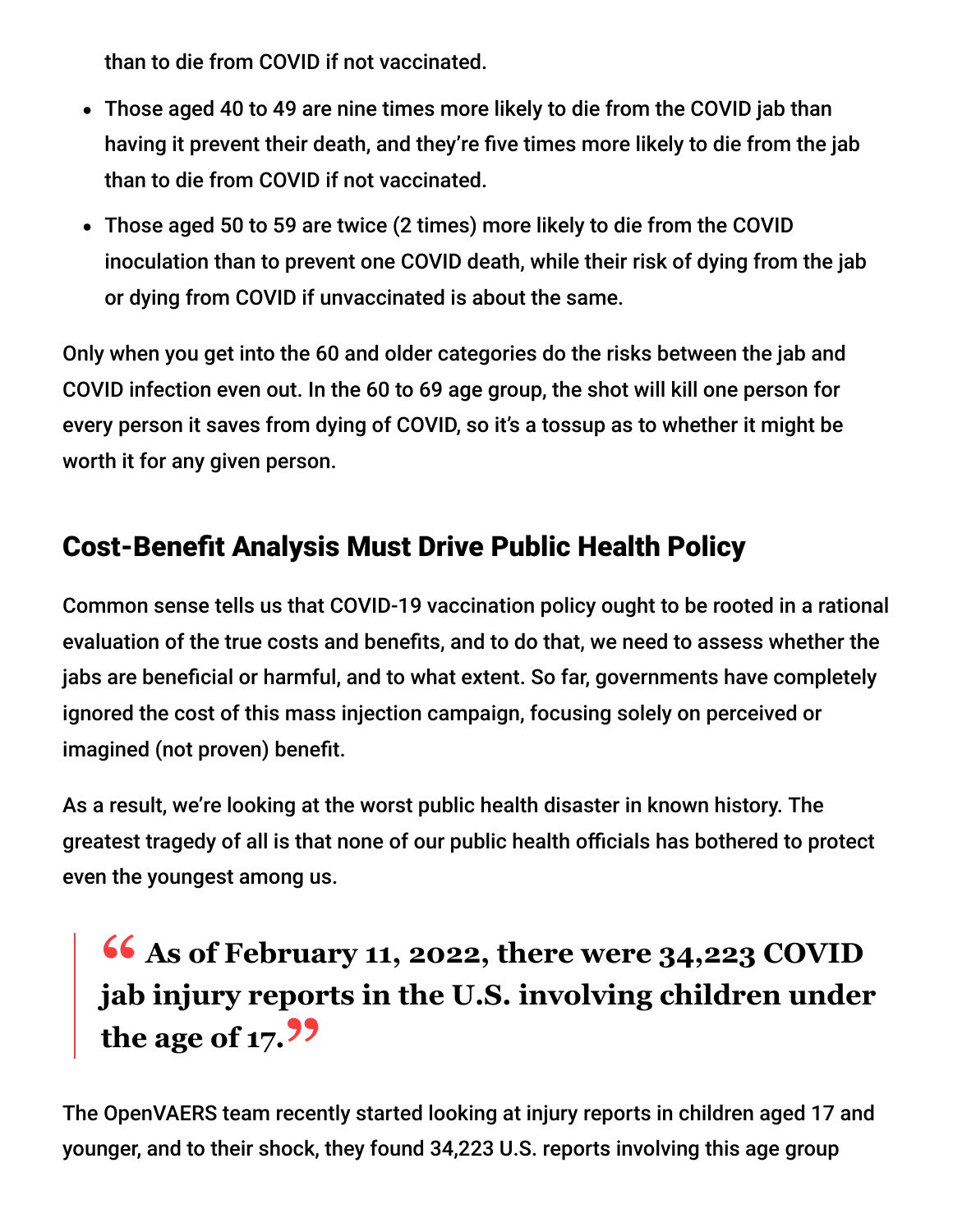than to die from COVID if not vaccinated.

- Those aged 40 to 49 are nine times more likely to die from the COVID jab than having it prevent their death, and they're five times more likely to die from the jab than to die from COVID if not vaccinated.
- Those aged 50 to 59 are twice (2 times) more likely to die from the COVID inoculation than to prevent one COVID death, while their risk of dying from the jab or dying from COVID if unvaccinated is about the same.

Only when you get into the 60 and older categories do the risks between the jab and COVID infection even out. In the 60 to 69 age group, the shot will kill one person for every person it saves from dying of COVID, so it's a tossup as to whether it might be worth it for any given person.

# Cost-Benefit Analysis Must Drive Public Health Policy

Common sense tells us that COVID-19 vaccination policy ought to be rooted in a rational evaluation of the true costs and benefits, and to do that, we need to assess whether the jabs are beneficial or harmful, and to what extent. So far, governments have completely ignored the cost of this mass injection campaign, focusing solely on perceived or imagined (not proven) benefit.

As a result, we're looking at the worst public health disaster in known history. The greatest tragedy of all is that none of our public health officials has bothered to protect even the youngest among us.

# **<sup>66</sup>** As of February 11, 2022, there were 34,223 COVID ish injury reports in the U.S. involving children under **jab injury reports in the U.S. involving children under the age of 17."**

The OpenVAERS team recently started looking at injury reports in children aged 17 and younger, and to their shock, they found 34,223 U.S. reports involving this age group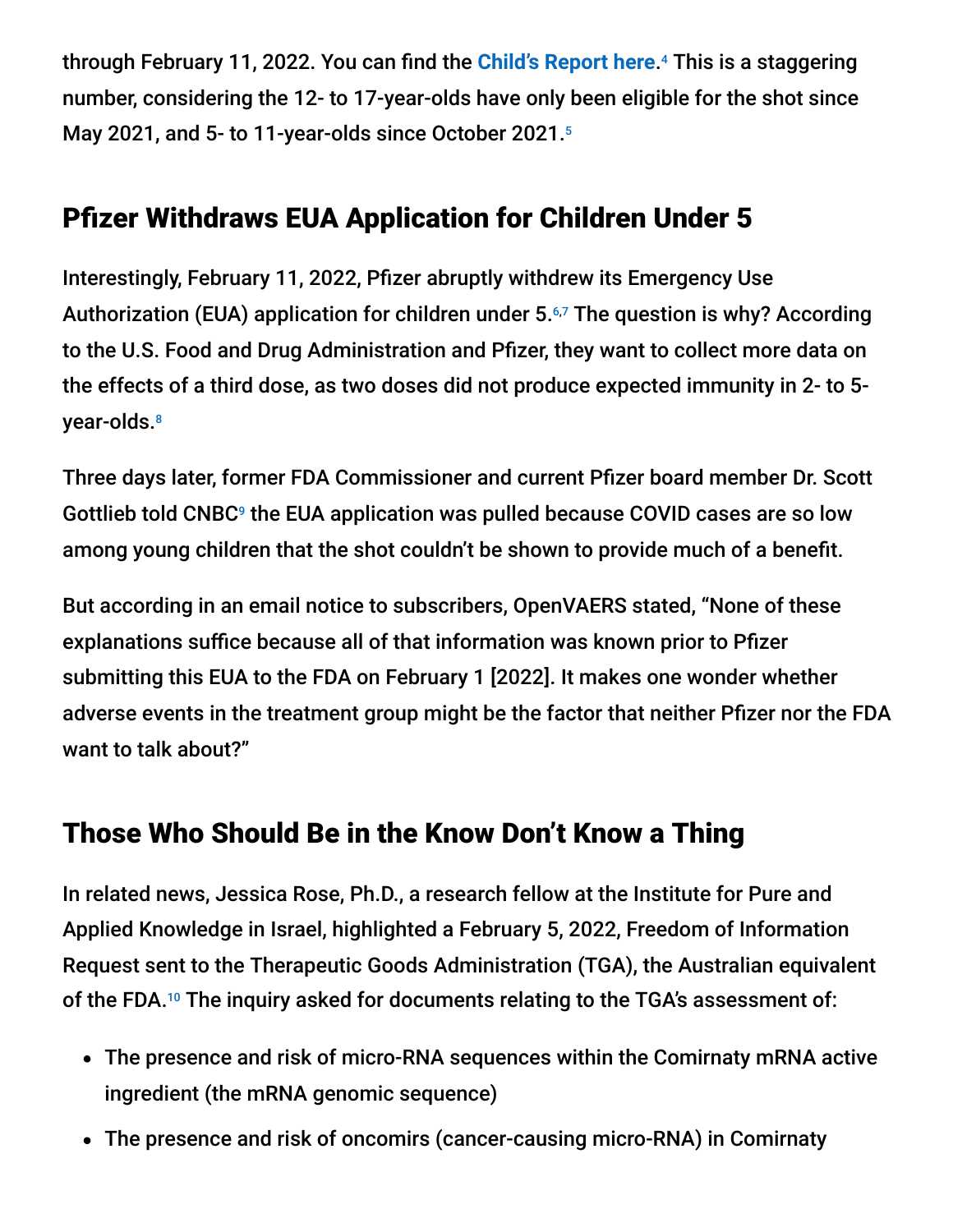through February 11, 2022. You can find the <mark>[Child's Report here](https://openvaers.com/covid-data/child-reports).</mark><sup>4</sup> This is a staggering number, considering the 12- to 17-year-olds have only been eligible for the shot since May 2021, and 5- to 11-year-olds since October 2021. 5

## Pfizer Withdraws EUA Application for Children Under 5

Interestingly, February 11, 2022, Pfizer abruptly withdrew its Emergency Use Authorization (EUA) application for children under 5.67 The question is why? According to the U.S. Food and Drug Administration and Pfizer, they want to collect more data on the effects of a third dose, as two doses did not produce expected immunity in 2- to 5 year-olds. 8

Three days later, former FDA Commissioner and current Pfizer board member Dr. Scott Gottlieb told  $\mathsf{CNEG}^{\mathsf{g}}$  the EUA application was pulled because COVID cases are so low among young children that the shot couldn't be shown to provide much of a benefit.

But according in an email notice to subscribers, OpenVAERS stated, "None of these explanations suffice because all of that information was known prior to Pfizer submitting this EUA to the FDA on February 1 [2022]. It makes one wonder whether adverse events in the treatment group might be the factor that neither Pfizer nor the FDA want to talk about?"

## Those Who Should Be in the Know Don't Know a Thing

In related news, Jessica Rose, Ph.D., a research fellow at the Institute for Pure and Applied Knowledge in Israel, highlighted a February 5, 2022, Freedom of Information Request sent to the Therapeutic Goods Administration (TGA), the Australian equivalent of the FDA. $10$  The inquiry asked for documents relating to the TGA's assessment of:

- The presence and risk of micro-RNA sequences within the Comirnaty mRNA active ingredient (the mRNA genomic sequence)
- The presence and risk of oncomirs (cancer-causing micro-RNA) in Comirnaty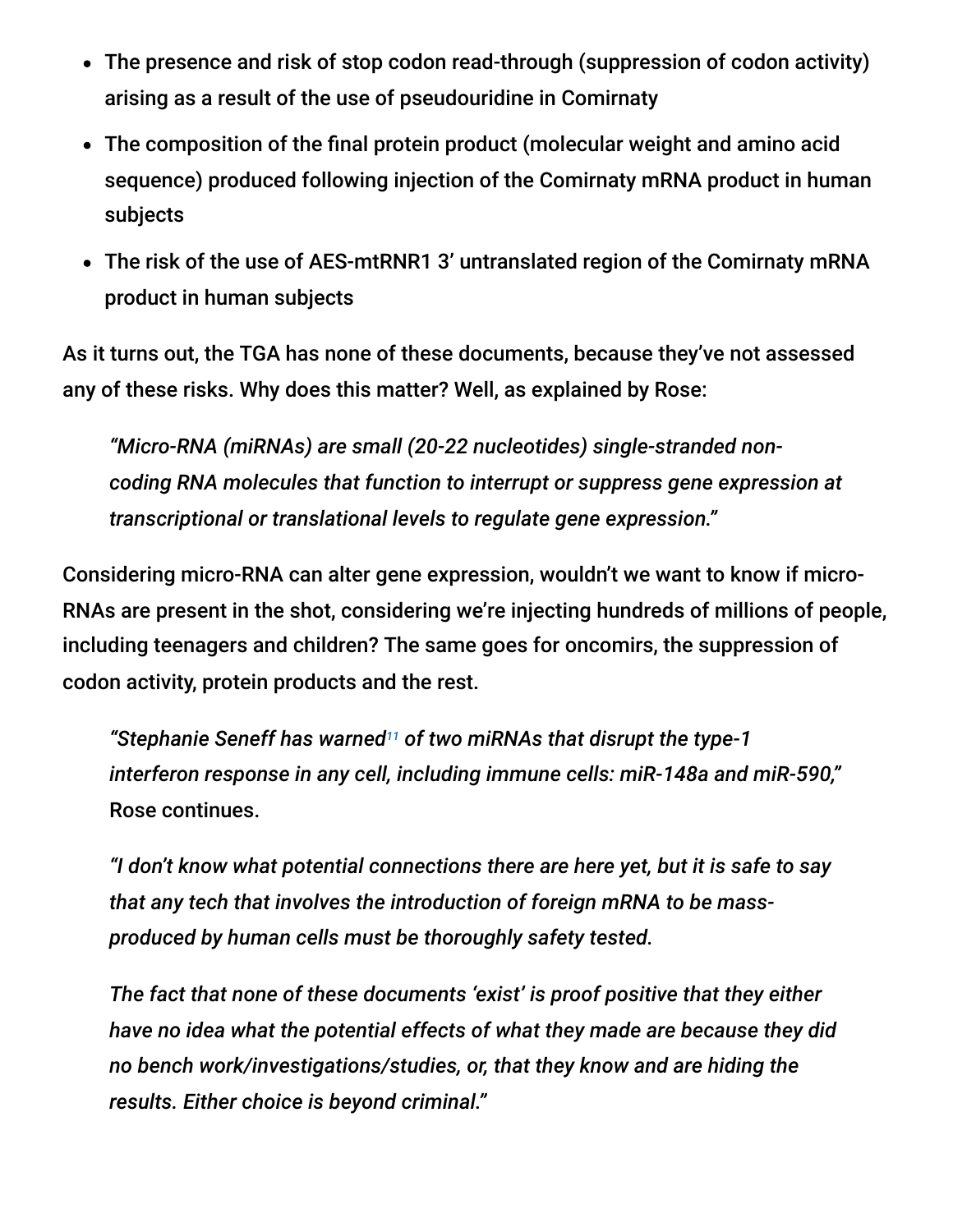- The presence and risk of stop codon read-through (suppression of codon activity) arising as a result of the use of pseudouridine in Comirnaty
- The composition of the final protein product (molecular weight and amino acid sequence) produced following injection of the Comirnaty mRNA product in human subjects
- The risk of the use of AES-mtRNR1 3' untranslated region of the Comirnaty mRNA product in human subjects

As it turns out, the TGA has none of these documents, because they've not assessed any of these risks. Why does this matter? Well, as explained by Rose:

*"Micro-RNA (miRNAs) are small (20-22 nucleotides) single-stranded noncoding RNA molecules that function to interrupt or suppress gene expression at transcriptional or translational levels to regulate gene expression."*

Considering micro-RNA can alter gene expression, wouldn't we want to know if micro-RNAs are present in the shot, considering we're injecting hundreds of millions of people, including teenagers and children? The same goes for oncomirs, the suppression of codon activity, protein products and the rest.

"Stephanie Seneff has warned<sup>11</sup> of two miRNAs that disrupt the type-1 *interferon response in any cell, including immune cells: miR-148a and miR-590,"* Rose continues.

*"I don't know what potential connections there are here yet, but it is safe to say that any tech that involves the introduction of foreign mRNA to be massproduced by human cells must be thoroughly safety tested.*

*The fact that none of these documents 'exist' is proof positive that they either have no idea what the potential effects of what they made are because they did no bench work/investigations/studies, or, that they know and are hiding the results. Either choice is beyond criminal."*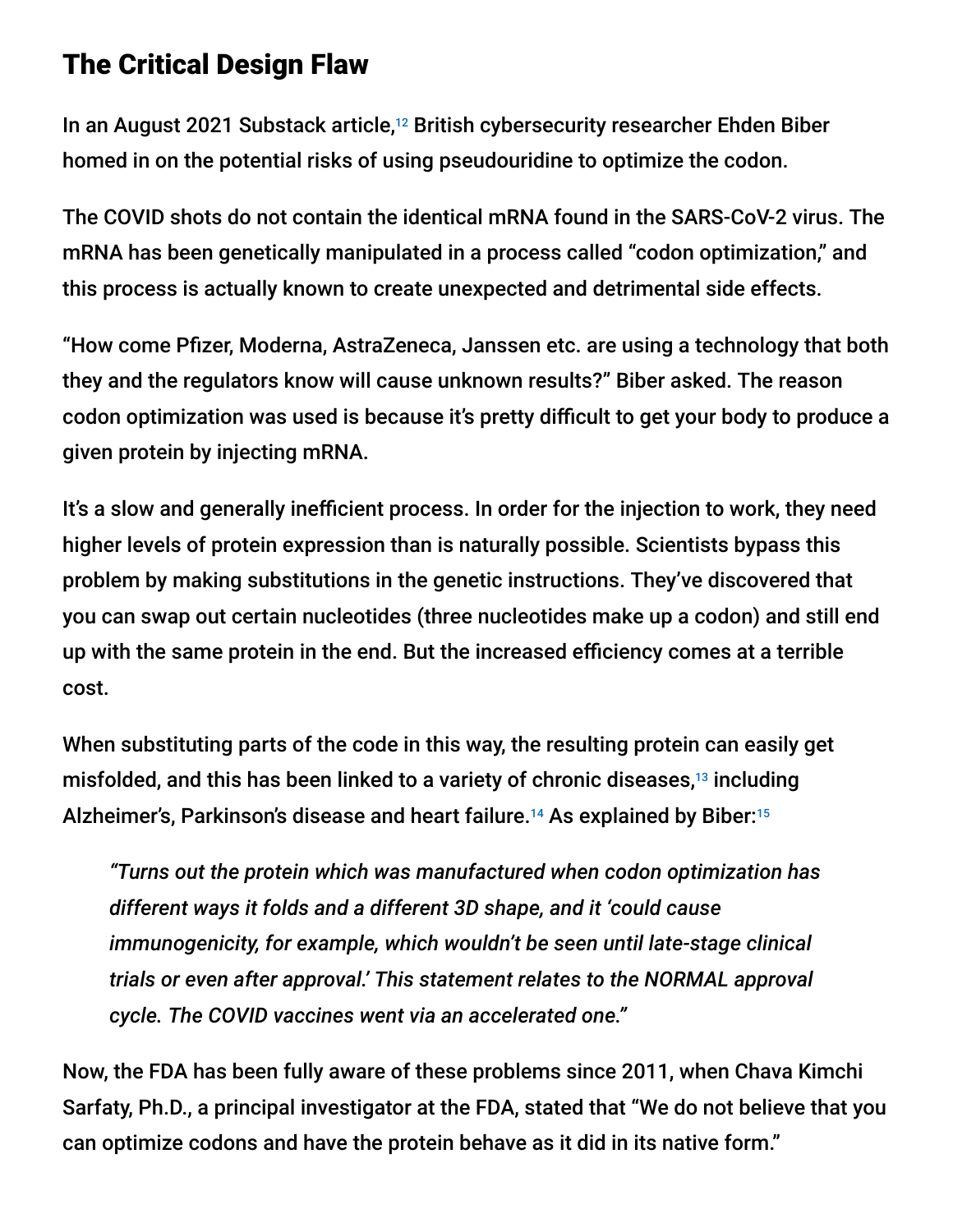### The Critical Design Flaw

In an August 2021 Substack article,<sup>12</sup> British cybersecurity researcher Ehden Biber homed in on the potential risks of using pseudouridine to optimize the codon.

The COVID shots do not contain the identical mRNA found in the SARS-CoV-2 virus. The mRNA has been genetically manipulated in a process called "codon optimization," and this process is actually known to create unexpected and detrimental side effects.

"How come Pfizer, Moderna, AstraZeneca, Janssen etc. are using a technology that both they and the regulators know will cause unknown results?" Biber asked. The reason codon optimization was used is because it's pretty difficult to get your body to produce a given protein by injecting mRNA.

It's a slow and generally inefficient process. In order for the injection to work, they need higher levels of protein expression than is naturally possible. Scientists bypass this problem by making substitutions in the genetic instructions. They've discovered that you can swap out certain nucleotides (three nucleotides make up a codon) and still end up with the same protein in the end. But the increased efficiency comes at a terrible cost.

When substituting parts of the code in this way, the resulting protein can easily get misfolded, and this has been linked to a variety of chronic diseases,<sup>13</sup> including Alzheimer's, Parkinson's disease and heart failure.<sup>14</sup> As explained by Biber:<sup>15</sup>

*"Turns out the protein which was manufactured when codon optimization has different ways it folds and a different 3D shape, and it 'could cause immunogenicity, for example, which wouldn't be seen until late-stage clinical trials or even after approval.' This statement relates to the NORMAL approval cycle. The COVID vaccines went via an accelerated one."*

Now, the FDA has been fully aware of these problems since 2011, when Chava Kimchi Sarfaty, Ph.D., a principal investigator at the FDA, stated that "We do not believe that you can optimize codons and have the protein behave as it did in its native form."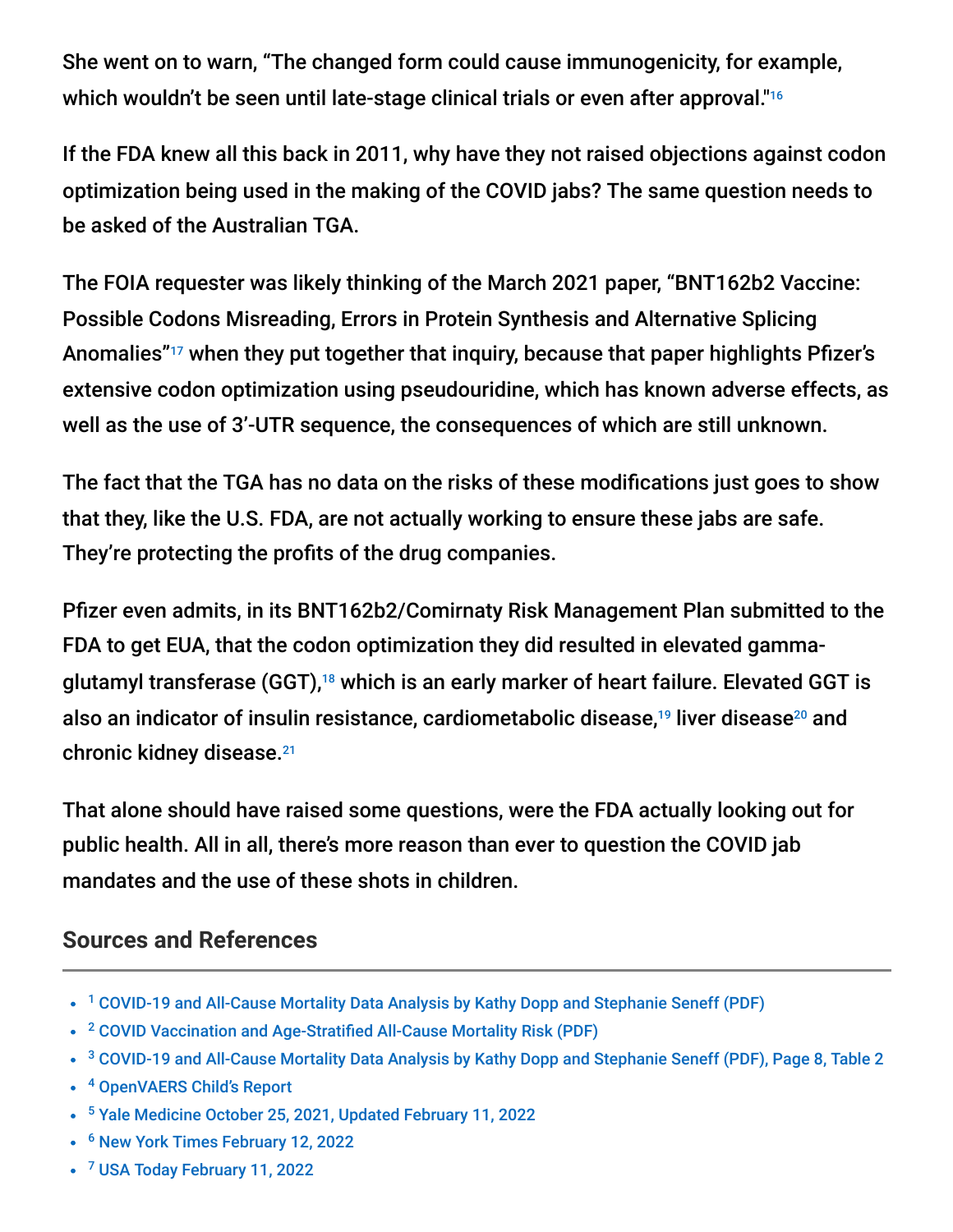She went on to warn, "The changed form could cause immunogenicity, for example, which wouldn't be seen until late-stage clinical trials or even after approval." 16

If the FDA knew all this back in 2011, why have they not raised objections against codon optimization being used in the making of the COVID jabs? The same question needs to be asked of the Australian TGA.

The FOIA requester was likely thinking of the March 2021 paper, "BNT162b2 Vaccine: Possible Codons Misreading, Errors in Protein Synthesis and Alternative Splicing Anomalies"<sup>17</sup> when they put together that inquiry, because that paper highlights Pfizer's extensive codon optimization using pseudouridine, which has known adverse effects, as well as the use of 3'-UTR sequence, the consequences of which are still unknown.

The fact that the TGA has no data on the risks of these modifications just goes to show that they, like the U.S. FDA, are not actually working to ensure these jabs are safe. They're protecting the profits of the drug companies.

Pfizer even admits, in its BNT162b2/Comirnaty Risk Management Plan submitted to the FDA to get EUA, that the codon optimization they did resulted in elevated gammaglutamyl transferase (GGT),<sup>18</sup> which is an early marker of heart failure. Elevated GGT is also an indicator of insulin resistance, cardiometabolic disease,<sup>19</sup> liver disease<sup>20</sup> and chronic kidney disease. 21

That alone should have raised some questions, were the FDA actually looking out for public health. All in all, there's more reason than ever to question the COVID jab mandates and the use of these shots in children.

### **Sources and References**

- <sup>1</sup> [COVID-19 and All-Cause Mortality Data Analysis by Kathy Dopp and Stephanie Seneff \(PDF\)](https://www.skirsch.com/covid/Seneff_costBenefit.pdf)
- <sup>2</sup> [COVID Vaccination and Age-Stratified All-Cause Mortality Risk \(PDF\)](https://normanpilon.files.wordpress.com/2021/11/covfr_manuscript_supplement_v2.pdf)
- <sup>3</sup> [COVID-19 and All-Cause Mortality Data Analysis by Kathy Dopp and Stephanie Seneff \(PDF\), Page 8, Table 2](https://www.skirsch.com/covid/Seneff_costBenefit.pdf)
- <sup>4</sup> [OpenVAERS Child's Report](https://openvaers.com/covid-data/child-reports)
- <sup>5</sup> [Yale Medicine October 25, 2021, Updated February 11, 2022](https://www.yalemedicine.org/news/covid-vaccine-for-ages-5-to-11)
- <sup>6</sup> [New York Times February 12, 2022](https://www.nytimes.com/2022/02/12/world/the-fda-delays-action-on-covid-shots-for-young-children.html)
- <sup>7</sup> [USA Today February 11, 2022](https://www.usatoday.com/story/news/health/2022/02/11/pfizer-vaccine-kids-under-5-fda-authorization-paused-data/6753568001/)